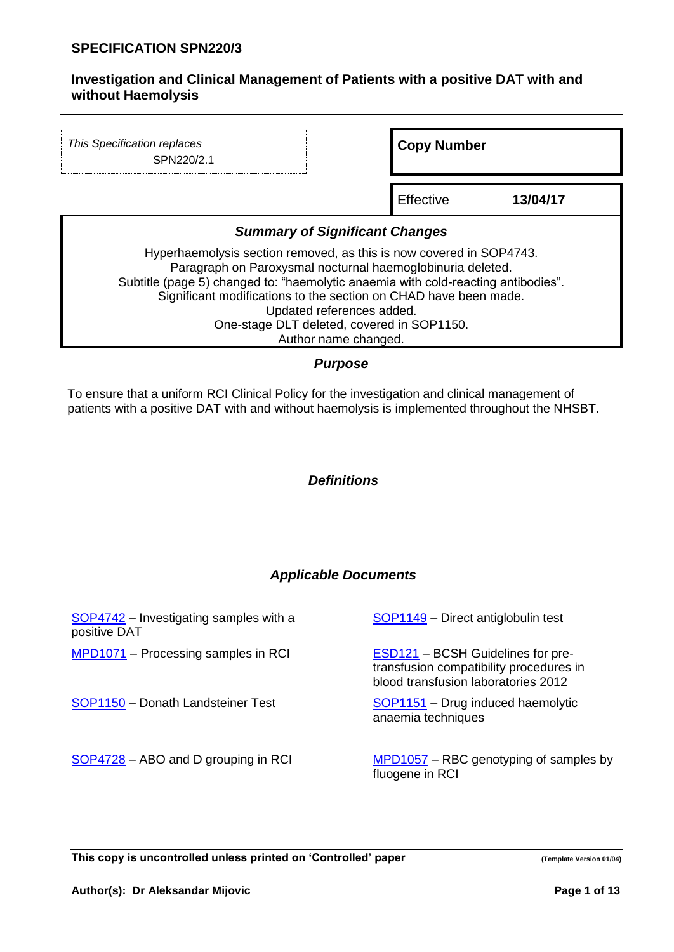| This Specification replaces<br>SPN220/2.1                                                                                                                                                                                                                                                                                                                                                     | <b>Copy Number</b> |          |  |  |
|-----------------------------------------------------------------------------------------------------------------------------------------------------------------------------------------------------------------------------------------------------------------------------------------------------------------------------------------------------------------------------------------------|--------------------|----------|--|--|
|                                                                                                                                                                                                                                                                                                                                                                                               | Effective          | 13/04/17 |  |  |
| <b>Summary of Significant Changes</b>                                                                                                                                                                                                                                                                                                                                                         |                    |          |  |  |
| Hyperhaemolysis section removed, as this is now covered in SOP4743.<br>Paragraph on Paroxysmal nocturnal haemoglobinuria deleted.<br>Subtitle (page 5) changed to: "haemolytic anaemia with cold-reacting antibodies".<br>Significant modifications to the section on CHAD have been made.<br>Updated references added.<br>One-stage DLT deleted, covered in SOP1150.<br>Author name changed. |                    |          |  |  |

# *Purpose*

To ensure that a uniform RCI Clinical Policy for the investigation and clinical management of patients with a positive DAT with and without haemolysis is implemented throughout the NHSBT.

## *Definitions*

# *Applicable Documents*

| SOP4742 – Investigating samples with a<br>positive DAT | SOP1149 - Direct antiglobulin test                                                                                         |
|--------------------------------------------------------|----------------------------------------------------------------------------------------------------------------------------|
| MPD1071 - Processing samples in RCI                    | <b>ESD121</b> – BCSH Guidelines for pre-<br>transfusion compatibility procedures in<br>blood transfusion laboratories 2012 |
| SOP1150 - Donath Landsteiner Test                      | SOP1151 - Drug induced haemolytic<br>anaemia techniques                                                                    |
| SOP4728 - ABO and D grouping in RCI                    | MPD1057 – RBC genotyping of samples by<br>fluogene in RCI                                                                  |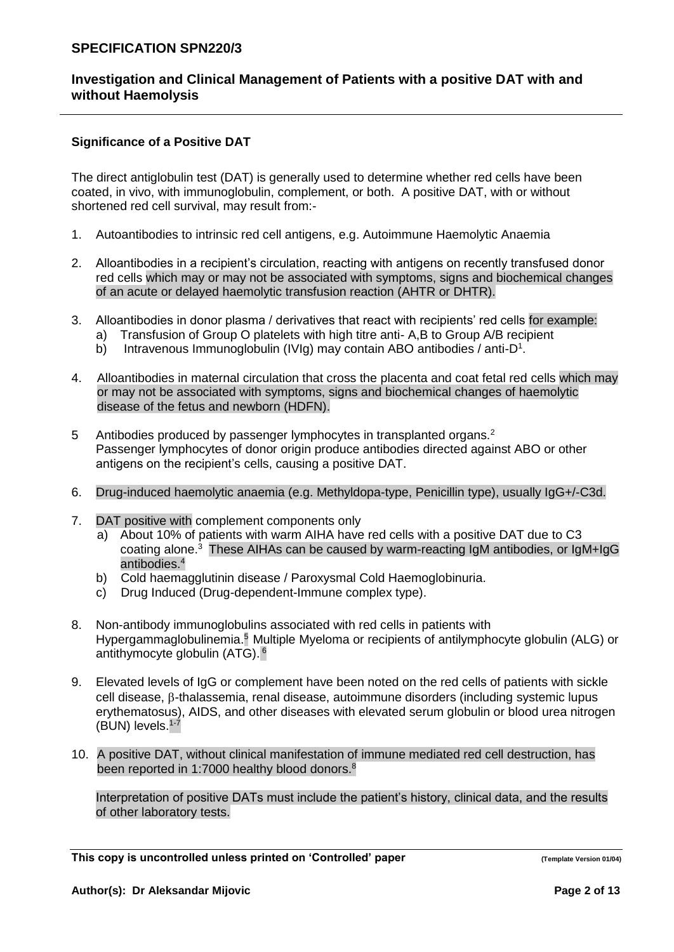# **Investigation and Clinical Management of Patients with a positive DAT with and without Haemolysis**

#### **Significance of a Positive DAT**

The direct antiglobulin test (DAT) is generally used to determine whether red cells have been coated, in vivo, with immunoglobulin, complement, or both. A positive DAT, with or without shortened red cell survival, may result from:-

- 1. Autoantibodies to intrinsic red cell antigens, e.g. Autoimmune Haemolytic Anaemia
- 2. Alloantibodies in a recipient's circulation, reacting with antigens on recently transfused donor red cells which may or may not be associated with symptoms, signs and biochemical changes of an acute or delayed haemolytic transfusion reaction (AHTR or DHTR).
- 3. Alloantibodies in donor plasma / derivatives that react with recipients' red cells for example:
	- a) Transfusion of Group O platelets with high titre anti- A,B to Group A/B recipient
	- b) Intravenous Immunoglobulin (IVIg) may contain ABO antibodies / anti-D<sup>1</sup>.
- 4. Alloantibodies in maternal circulation that cross the placenta and coat fetal red cells which may or may not be associated with symptoms, signs and biochemical changes of haemolytic disease of the fetus and newborn (HDFN).
- 5 Antibodies produced by passenger lymphocytes in transplanted organs.<sup>2</sup> Passenger lymphocytes of donor origin produce antibodies directed against ABO or other antigens on the recipient's cells, causing a positive DAT.
- 6. Drug-induced haemolytic anaemia (e.g. Methyldopa-type, Penicillin type), usually IgG+/-C3d.
- 7. DAT positive with complement components only
	- a) About 10% of patients with warm AIHA have red cells with a positive DAT due to C3 coating alone.<sup>3</sup> These AIHAs can be caused by warm-reacting IgM antibodies, or IgM+IgG antibodies.<sup>4</sup>
	- b) Cold haemagglutinin disease / Paroxysmal Cold Haemoglobinuria.
	- c) Drug Induced (Drug-dependent-Immune complex type).
- 8. Non-antibody immunoglobulins associated with red cells in patients with Hypergammaglobulinemia.<sup>5</sup> Multiple Myeloma or recipients of antilymphocyte globulin (ALG) or antithymocyte globulin (ATG). 6
- 9. Elevated levels of IgG or complement have been noted on the red cells of patients with sickle  $cell$  disease,  $\beta$ -thalassemia, renal disease, autoimmune disorders (including systemic lupus erythematosus), AIDS, and other diseases with elevated serum globulin or blood urea nitrogen (BUN) levels.<sup>1-7</sup>
- 10. A positive DAT, without clinical manifestation of immune mediated red cell destruction, has been reported in 1:7000 healthy blood donors.<sup>8</sup>

Interpretation of positive DATs must include the patient's history, clinical data, and the results of other laboratory tests.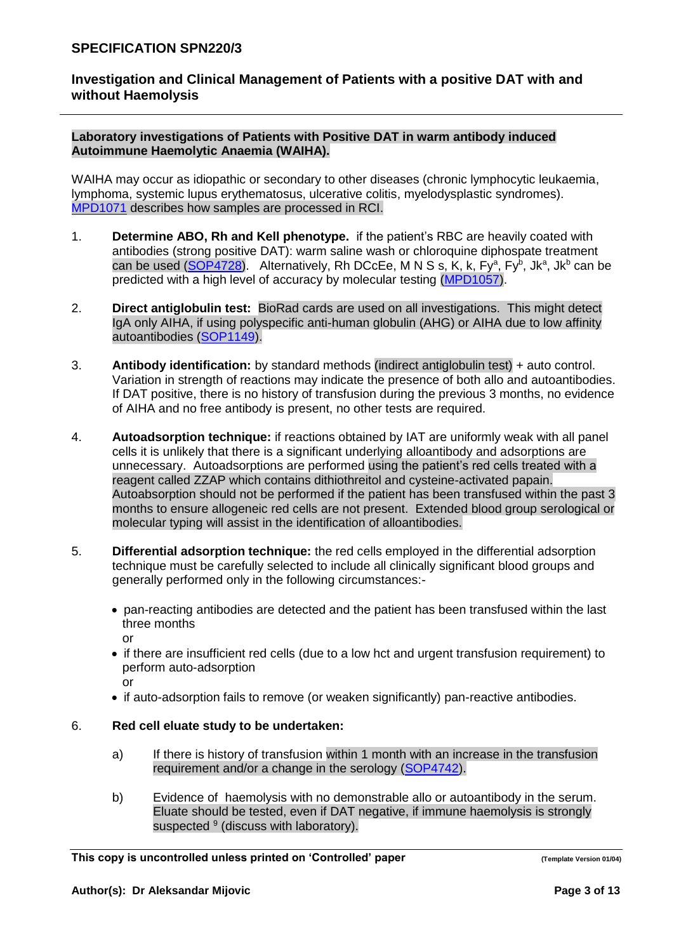**Laboratory investigations of Patients with Positive DAT in warm antibody induced Autoimmune Haemolytic Anaemia (WAIHA).**

WAIHA may occur as idiopathic or secondary to other diseases (chronic lymphocytic leukaemia, lymphoma, systemic lupus erythematosus, ulcerative colitis, myelodysplastic syndromes). [MPD1071](http://ndcsb217:8088/upload/controlled_documents/MPD1071.doc) describes how samples are processed in RCI.

- 1. **Determine ABO, Rh and Kell phenotype.** if the patient's RBC are heavily coated with antibodies (strong positive DAT): warm saline wash or chloroquine diphospate treatment can be used [\(SOP4728\)](http://ndcsb217:8088/upload/controlled_documents/SOP4728.doc). Alternatively, Rh DCcEe, M N S s, K, k, Fy<sup>a</sup>, Fy<sup>b</sup>, Jk<sup>a</sup>, Jk<sup>b</sup> can be predicted with a high level of accuracy by molecular testing [\(MPD1057\)](http://ndcsb217:8088/upload/controlled_documents/MPD1057.doc).
- 2. **Direct antiglobulin test:** BioRad cards are used on all investigations. This might detect IgA only AIHA, if using polyspecific anti-human globulin (AHG) or AIHA due to low affinity autoantibodies [\(SOP1149\)](http://ndcsb217:8088/upload/controlled_documents/SOP1149.doc).
- 3. **Antibody identification:** by standard methods (indirect antiglobulin test) + auto control. Variation in strength of reactions may indicate the presence of both allo and autoantibodies. If DAT positive, there is no history of transfusion during the previous 3 months, no evidence of AIHA and no free antibody is present, no other tests are required.
- 4. **Autoadsorption technique:** if reactions obtained by IAT are uniformly weak with all panel cells it is unlikely that there is a significant underlying alloantibody and adsorptions are unnecessary. Autoadsorptions are performed using the patient's red cells treated with a reagent called ZZAP which contains dithiothreitol and cysteine-activated papain. Autoabsorption should not be performed if the patient has been transfused within the past 3 months to ensure allogeneic red cells are not present. Extended blood group serological or molecular typing will assist in the identification of alloantibodies.
- 5. **Differential adsorption technique:** the red cells employed in the differential adsorption technique must be carefully selected to include all clinically significant blood groups and generally performed only in the following circumstances:-
	- pan-reacting antibodies are detected and the patient has been transfused within the last three months or
	- if there are insufficient red cells (due to a low hct and urgent transfusion requirement) to perform auto-adsorption
		- or
	- if auto-adsorption fails to remove (or weaken significantly) pan-reactive antibodies.

# 6. **Red cell eluate study to be undertaken:**

- a) If there is history of transfusion within 1 month with an increase in the transfusion requirement and/or a change in the serology [\(SOP4742\)](http://ndcsb217:8088/upload/controlled_documents/SOP4742.doc).
- b) Evidence of haemolysis with no demonstrable allo or autoantibody in the serum. Eluate should be tested, even if DAT negative, if immune haemolysis is strongly suspected <sup>9</sup> (discuss with laboratory).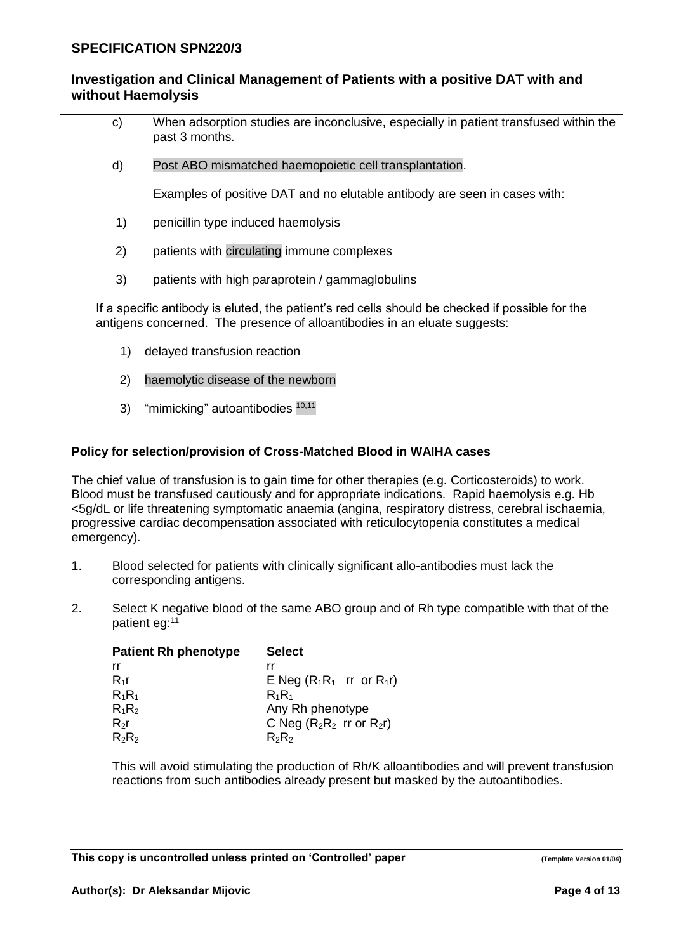- c) When adsorption studies are inconclusive, especially in patient transfused within the past 3 months.
- d) Post ABO mismatched haemopoietic cell transplantation.

Examples of positive DAT and no elutable antibody are seen in cases with:

- 1) penicillin type induced haemolysis
- 2) patients with circulating immune complexes
- 3) patients with high paraprotein / gammaglobulins

If a specific antibody is eluted, the patient's red cells should be checked if possible for the antigens concerned. The presence of alloantibodies in an eluate suggests:

- 1) delayed transfusion reaction
- 2) haemolytic disease of the newborn
- 3) "mimicking" autoantibodies 10,11

# **Policy for selection/provision of Cross-Matched Blood in WAIHA cases**

The chief value of transfusion is to gain time for other therapies (e.g. Corticosteroids) to work. Blood must be transfused cautiously and for appropriate indications. Rapid haemolysis e.g. Hb <5g/dL or life threatening symptomatic anaemia (angina, respiratory distress, cerebral ischaemia, progressive cardiac decompensation associated with reticulocytopenia constitutes a medical emergency).

- 1. Blood selected for patients with clinically significant allo-antibodies must lack the corresponding antigens.
- 2. Select K negative blood of the same ABO group and of Rh type compatible with that of the patient eg:<sup>11</sup>

| <b>Patient Rh phenotype</b> | <b>Select</b>                  |
|-----------------------------|--------------------------------|
| rr                          | rr                             |
| $R_{1}r$                    | E Neg $(R_1R_1$ rr or $R_1r$   |
| $R_1R_1$                    | $R_1R_1$                       |
| $R_1R_2$                    | Any Rh phenotype               |
| $R_2r$                      | C Neg $(R_2R_2$ rr or $R_2r$ ) |
| $R_2R_2$                    | $R_2R_2$                       |

This will avoid stimulating the production of Rh/K alloantibodies and will prevent transfusion reactions from such antibodies already present but masked by the autoantibodies.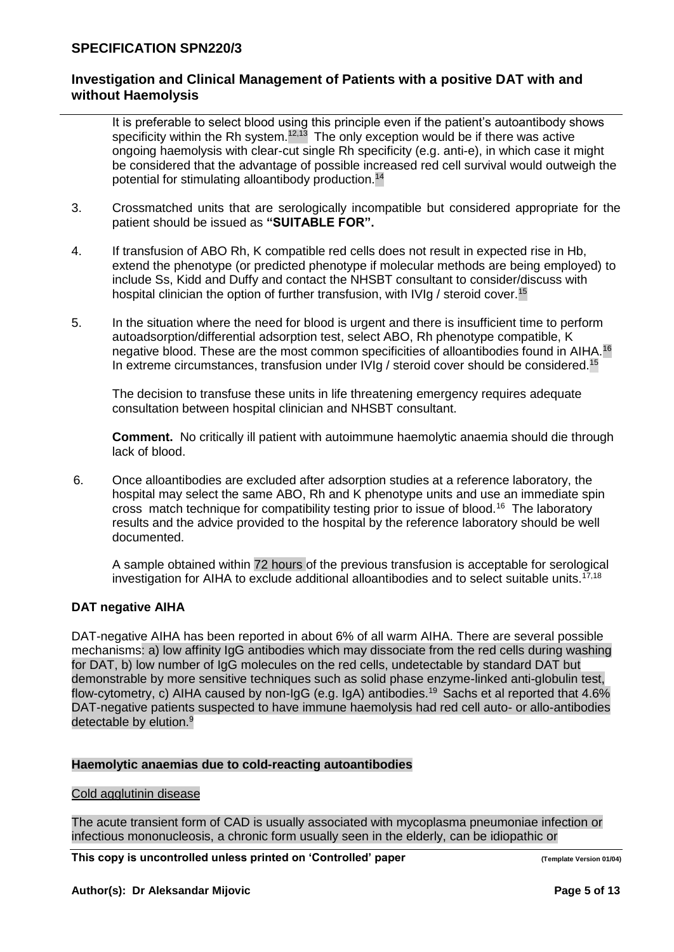# **Investigation and Clinical Management of Patients with a positive DAT with and without Haemolysis**

It is preferable to select blood using this principle even if the patient's autoantibody shows specificity within the Rh system. $12,13$  The only exception would be if there was active ongoing haemolysis with clear-cut single Rh specificity (e.g. anti-e), in which case it might be considered that the advantage of possible increased red cell survival would outweigh the potential for stimulating alloantibody production.<sup>14</sup>

- 3. Crossmatched units that are serologically incompatible but considered appropriate for the patient should be issued as **"SUITABLE FOR".**
- 4. If transfusion of ABO Rh, K compatible red cells does not result in expected rise in Hb, extend the phenotype (or predicted phenotype if molecular methods are being employed) to include Ss, Kidd and Duffy and contact the NHSBT consultant to consider/discuss with hospital clinician the option of further transfusion, with IVIg / steroid cover.<sup>15</sup>
- 5. In the situation where the need for blood is urgent and there is insufficient time to perform autoadsorption/differential adsorption test, select ABO, Rh phenotype compatible, K negative blood. These are the most common specificities of alloantibodies found in AIHA.<sup>16</sup> In extreme circumstances, transfusion under IVIg / steroid cover should be considered.<sup>15</sup>

The decision to transfuse these units in life threatening emergency requires adequate consultation between hospital clinician and NHSBT consultant.

**Comment.** No critically ill patient with autoimmune haemolytic anaemia should die through lack of blood.

6. Once alloantibodies are excluded after adsorption studies at a reference laboratory, the hospital may select the same ABO, Rh and K phenotype units and use an immediate spin cross match technique for compatibility testing prior to issue of blood.<sup>16</sup> The laboratory results and the advice provided to the hospital by the reference laboratory should be well documented.

A sample obtained within 72 hours of the previous transfusion is acceptable for serological investigation for AIHA to exclude additional alloantibodies and to select suitable units.<sup>17,18</sup>

## **DAT negative AIHA**

DAT-negative AIHA has been reported in about 6% of all warm AIHA. There are several possible mechanisms: a) low affinity IgG antibodies which may dissociate from the red cells during washing for DAT, b) low number of IgG molecules on the red cells, undetectable by standard DAT but demonstrable by more sensitive techniques such as solid phase enzyme-linked anti-globulin test, flow-cytometry, c) AIHA caused by non-IgG (e.g. IgA) antibodies. <sup>19</sup> Sachs et al reported that 4.6% DAT-negative patients suspected to have immune haemolysis had red cell auto- or allo-antibodies detectable by elution.<sup>9</sup>

## **Haemolytic anaemias due to cold-reacting autoantibodies**

#### Cold agglutinin disease

The acute transient form of CAD is usually associated with mycoplasma pneumoniae infection or infectious mononucleosis, a chronic form usually seen in the elderly, can be idiopathic or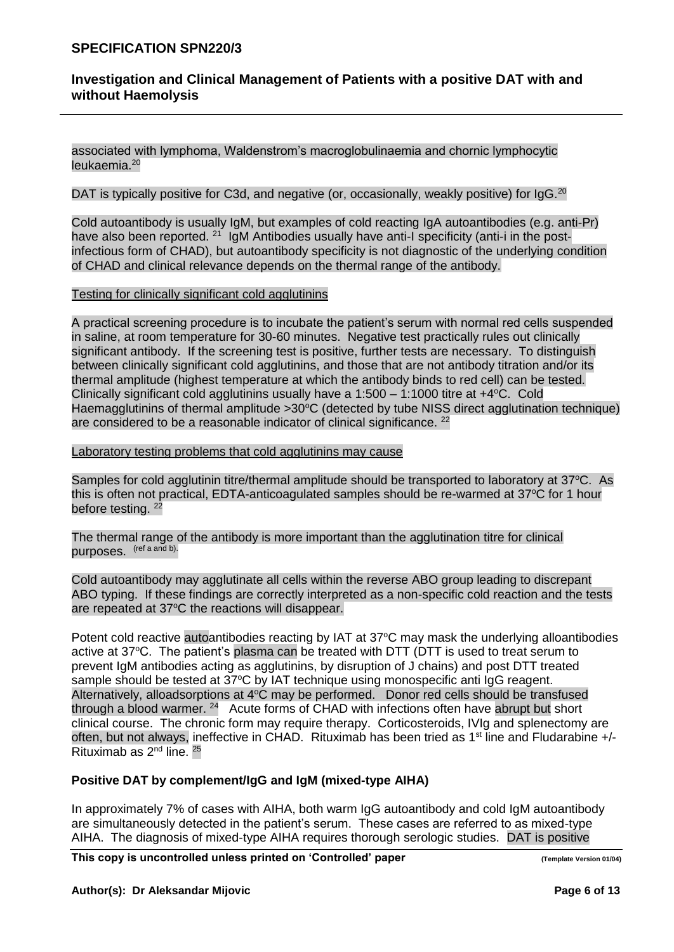# **Investigation and Clinical Management of Patients with a positive DAT with and without Haemolysis**

associated with lymphoma, Waldenstrom's macroglobulinaemia and chornic lymphocytic leukaemia.<sup>20</sup>

#### DAT is typically positive for C3d, and negative (or, occasionally, weakly positive) for  $\lg G$ .<sup>20</sup>

Cold autoantibody is usually IgM, but examples of cold reacting IgA autoantibodies (e.g. anti-Pr) have also been reported. <sup>21</sup> IgM Antibodies usually have anti-I specificity (anti-i in the postinfectious form of CHAD), but autoantibody specificity is not diagnostic of the underlying condition of CHAD and clinical relevance depends on the thermal range of the antibody.

### Testing for clinically significant cold agglutinins

A practical screening procedure is to incubate the patient's serum with normal red cells suspended in saline, at room temperature for 30-60 minutes. Negative test practically rules out clinically significant antibody. If the screening test is positive, further tests are necessary. To distinguish between clinically significant cold agglutinins, and those that are not antibody titration and/or its thermal amplitude (highest temperature at which the antibody binds to red cell) can be tested. Clinically significant cold agglutinins usually have a  $1:500 - 1:1000$  titre at  $+4^{\circ}$ C. Cold Haemagglutinins of thermal amplitude  $>30^{\circ}$ C (detected by tube NISS direct agglutination technique) are considered to be a reasonable indicator of clinical significance. <sup>22</sup>

### Laboratory testing problems that cold agglutinins may cause

Samples for cold agglutinin titre/thermal amplitude should be transported to laboratory at  $37^{\circ}$ C. As this is often not practical, EDTA-anticoagulated samples should be re-warmed at  $37^{\circ}$ C for 1 hour before testing.<sup>22</sup>

The thermal range of the antibody is more important than the agglutination titre for clinical purposes. (ref a and b).

Cold autoantibody may agglutinate all cells within the reverse ABO group leading to discrepant ABO typing. If these findings are correctly interpreted as a non-specific cold reaction and the tests are repeated at 37°C the reactions will disappear.

Potent cold reactive autoantibodies reacting by IAT at 37°C may mask the underlying alloantibodies active at  $37^{\circ}$ C. The patient's plasma can be treated with DTT (DTT is used to treat serum to prevent IgM antibodies acting as agglutinins, by disruption of J chains) and post DTT treated sample should be tested at 37°C by IAT technique using monospecific anti IgG reagent. Alternatively, alloadsorptions at 4°C may be performed. Donor red cells should be transfused through a blood warmer. <sup>24</sup> Acute forms of CHAD with infections often have abrupt but short clinical course. The chronic form may require therapy. Corticosteroids, IVIg and splenectomy are often, but not always, ineffective in CHAD. Rituximab has been tried as 1<sup>st</sup> line and Fludarabine +/-Rituximab as  $2<sup>nd</sup>$  line.  $2<sup>5</sup>$ 

#### **Positive DAT by complement/IgG and IgM (mixed-type AIHA)**

In approximately 7% of cases with AIHA, both warm IgG autoantibody and cold IgM autoantibody are simultaneously detected in the patient's serum. These cases are referred to as mixed-type AIHA. The diagnosis of mixed-type AIHA requires thorough serologic studies. DAT is positive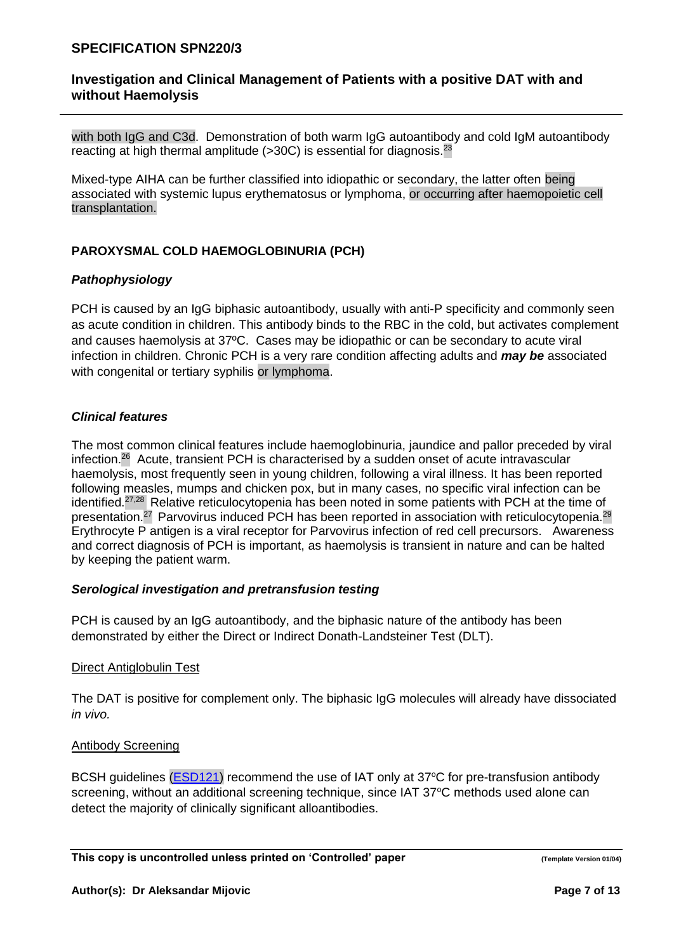# **Investigation and Clinical Management of Patients with a positive DAT with and without Haemolysis**

with both IgG and C3d. Demonstration of both warm IgG autoantibody and cold IgM autoantibody reacting at high thermal amplitude  $($ >30C) is essential for diagnosis.<sup>23</sup>

Mixed-type AIHA can be further classified into idiopathic or secondary, the latter often being associated with systemic lupus erythematosus or lymphoma, or occurring after haemopoietic cell transplantation.

# **PAROXYSMAL COLD HAEMOGLOBINURIA (PCH)**

## *Pathophysiology*

PCH is caused by an IgG biphasic autoantibody, usually with anti-P specificity and commonly seen as acute condition in children. This antibody binds to the RBC in the cold, but activates complement and causes haemolysis at 37ºC. Cases may be idiopathic or can be secondary to acute viral infection in children. Chronic PCH is a very rare condition affecting adults and *may be* associated with congenital or tertiary syphilis or lymphoma.

## *Clinical features*

The most common clinical features include haemoglobinuria, jaundice and pallor preceded by viral infection.<sup>26</sup> Acute, transient PCH is characterised by a sudden onset of acute intravascular haemolysis, most frequently seen in young children, following a viral illness. It has been reported following measles, mumps and chicken pox, but in many cases, no specific viral infection can be identified.<sup>27,28</sup> Relative reticulocytopenia has been noted in some patients with PCH at the time of presentation.<sup>27</sup> Parvovirus induced PCH has been reported in association with reticulocytopenia.<sup>29</sup> Erythrocyte P antigen is a viral receptor for Parvovirus infection of red cell precursors. Awareness and correct diagnosis of PCH is important, as haemolysis is transient in nature and can be halted by keeping the patient warm.

## *Serological investigation and pretransfusion testing*

PCH is caused by an IgG autoantibody, and the biphasic nature of the antibody has been demonstrated by either the Direct or Indirect Donath-Landsteiner Test (DLT).

#### Direct Antiglobulin Test

The DAT is positive for complement only. The biphasic IgG molecules will already have dissociated *in vivo.*

#### Antibody Screening

BCSH guidelines [\(ESD121\)](http://ndcsb217:8088/upload/controlled_documents/ESD121.doc) recommend the use of IAT only at 37°C for pre-transfusion antibody screening, without an additional screening technique, since IAT 37°C methods used alone can detect the majority of clinically significant alloantibodies.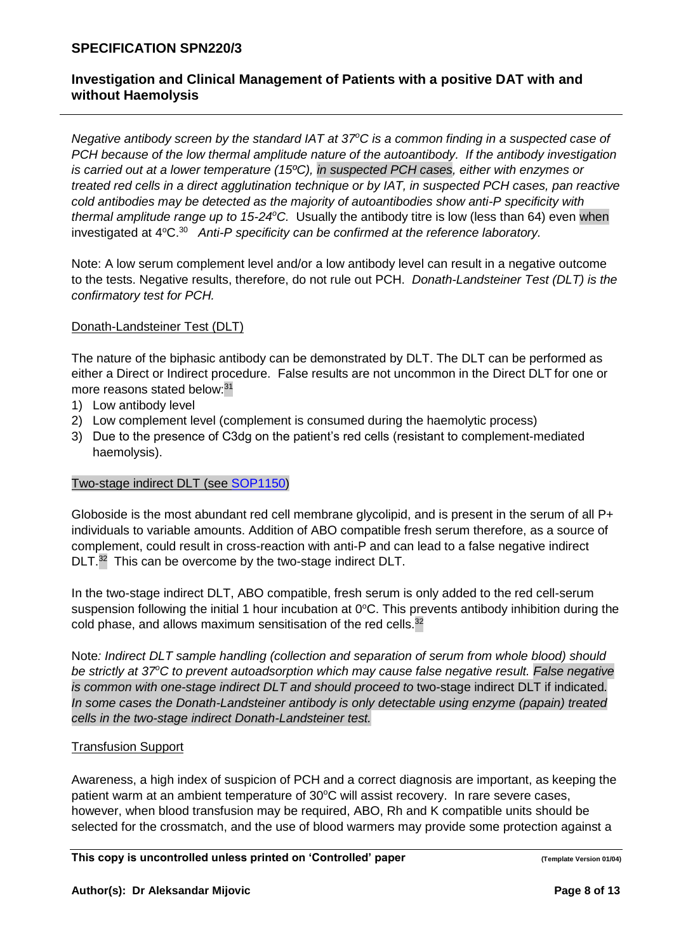# **Investigation and Clinical Management of Patients with a positive DAT with and without Haemolysis**

*Negative antibody screen by the standard IAT at 37<sup>o</sup>C is a common finding in a suspected case of PCH because of the low thermal amplitude nature of the autoantibody. If the antibody investigation is carried out at a lower temperature (15ºC), in suspected PCH cases, either with enzymes or treated red cells in a direct agglutination technique or by IAT, in suspected PCH cases, pan reactive cold antibodies may be detected as the majority of autoantibodies show anti-P specificity with thermal amplitude range up to 15-24<sup>o</sup>C.* Usually the antibody titre is low (less than 64) even when investigated at 4°C.<sup>30</sup> Anti-P specificity can be confirmed at the reference laboratory.

Note: A low serum complement level and/or a low antibody level can result in a negative outcome to the tests. Negative results, therefore, do not rule out PCH. *Donath-Landsteiner Test (DLT) is the confirmatory test for PCH.*

### Donath-Landsteiner Test (DLT)

The nature of the biphasic antibody can be demonstrated by DLT. The DLT can be performed as either a Direct or Indirect procedure. False results are not uncommon in the Direct DLT for one or more reasons stated below: 31

- 1) Low antibody level
- 2) Low complement level (complement is consumed during the haemolytic process)
- 3) Due to the presence of C3dg on the patient's red cells (resistant to complement-mediated haemolysis).

#### Two-stage indirect DLT (see [SOP1150\)](http://ndcsb217:8088/upload/controlled_documents/SOP1150.DOC)

Globoside is the most abundant red cell membrane glycolipid, and is present in the serum of all P+ individuals to variable amounts. Addition of ABO compatible fresh serum therefore, as a source of complement, could result in cross-reaction with anti-P and can lead to a false negative indirect DLT.<sup>32</sup> This can be overcome by the two-stage indirect DLT.

In the two-stage indirect DLT, ABO compatible, fresh serum is only added to the red cell-serum suspension following the initial 1 hour incubation at  $0^{\circ}$ C. This prevents antibody inhibition during the cold phase, and allows maximum sensitisation of the red cells.<sup>32</sup>

Note*: Indirect DLT sample handling (collection and separation of serum from whole blood) should be strictly at 37<sup>o</sup>C to prevent autoadsorption which may cause false negative result. False negative is common with one-stage indirect DLT and should proceed to two-stage indirect DLT if indicated. In some cases the Donath-Landsteiner antibody is only detectable using enzyme (papain) treated cells in the two-stage indirect Donath-Landsteiner test.*

## Transfusion Support

Awareness, a high index of suspicion of PCH and a correct diagnosis are important, as keeping the patient warm at an ambient temperature of  $30^{\circ}$ C will assist recovery. In rare severe cases, however, when blood transfusion may be required, ABO, Rh and K compatible units should be selected for the crossmatch, and the use of blood warmers may provide some protection against a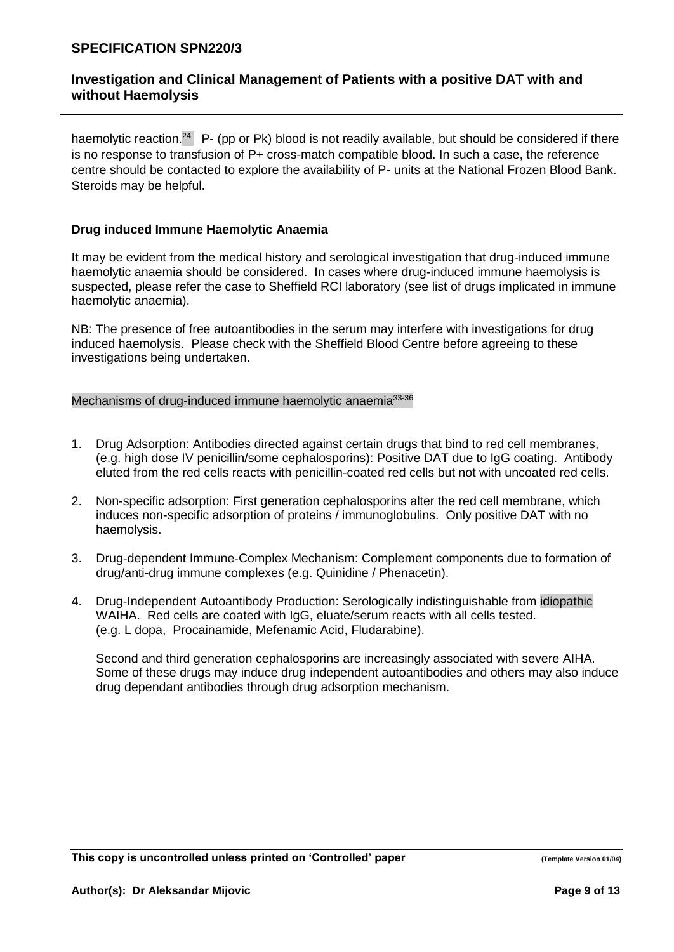haemolytic reaction.<sup>24</sup> P- (pp or Pk) blood is not readily available, but should be considered if there is no response to transfusion of P+ cross-match compatible blood. In such a case, the reference centre should be contacted to explore the availability of P- units at the National Frozen Blood Bank. Steroids may be helpful.

# **Drug induced Immune Haemolytic Anaemia**

It may be evident from the medical history and serological investigation that drug-induced immune haemolytic anaemia should be considered. In cases where drug-induced immune haemolysis is suspected, please refer the case to Sheffield RCI laboratory (see list of drugs implicated in immune haemolytic anaemia).

NB: The presence of free autoantibodies in the serum may interfere with investigations for drug induced haemolysis. Please check with the Sheffield Blood Centre before agreeing to these investigations being undertaken.

## Mechanisms of drug-induced immune haemolytic anaemia<sup>33-36</sup>

- 1. Drug Adsorption: Antibodies directed against certain drugs that bind to red cell membranes, (e.g. high dose IV penicillin/some cephalosporins): Positive DAT due to IgG coating. Antibody eluted from the red cells reacts with penicillin-coated red cells but not with uncoated red cells.
- 2. Non-specific adsorption: First generation cephalosporins alter the red cell membrane, which induces non-specific adsorption of proteins / immunoglobulins. Only positive DAT with no haemolysis.
- 3. Drug-dependent Immune-Complex Mechanism: Complement components due to formation of drug/anti-drug immune complexes (e.g. Quinidine / Phenacetin).
- 4. Drug-Independent Autoantibody Production: Serologically indistinguishable from idiopathic WAIHA. Red cells are coated with IgG, eluate/serum reacts with all cells tested. (e.g. L dopa, Procainamide, Mefenamic Acid, Fludarabine).

Second and third generation cephalosporins are increasingly associated with severe AIHA. Some of these drugs may induce drug independent autoantibodies and others may also induce drug dependant antibodies through drug adsorption mechanism.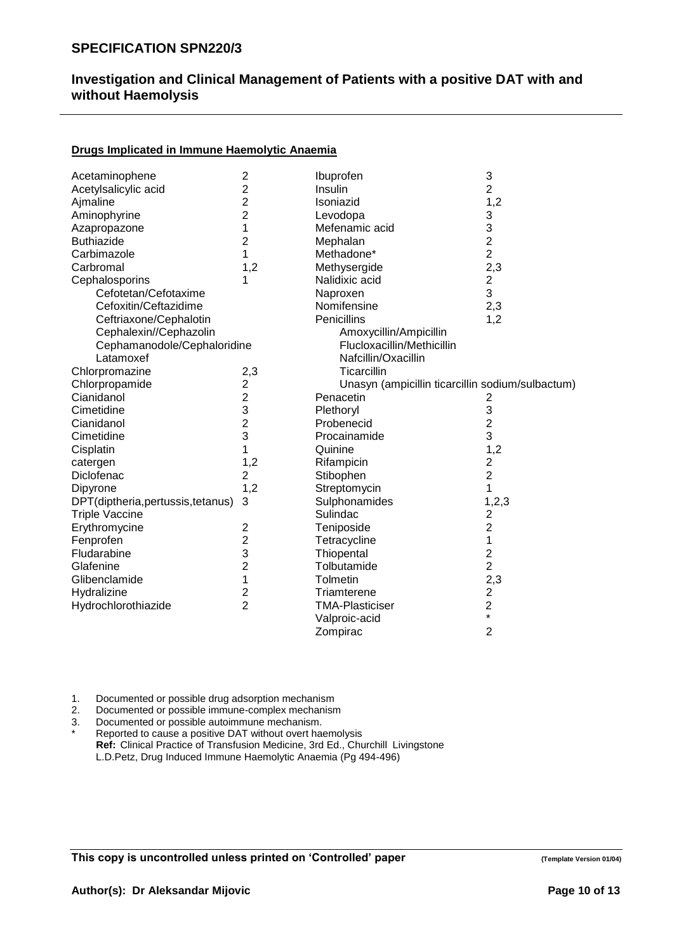# **Drugs Implicated in Immune Haemolytic Anaemia**

| Acetaminophene                   | $\overline{\mathbf{c}}$ | Ibuprofen                                        | 3                       |
|----------------------------------|-------------------------|--------------------------------------------------|-------------------------|
| Acetylsalicylic acid             | $\overline{2}$          | Insulin                                          | $\overline{2}$          |
| Ajmaline                         | $\overline{c}$          | Isoniazid                                        | 1,2                     |
| Aminophyrine                     | $\overline{2}$          | Levodopa                                         | 3                       |
| Azapropazone                     | 1                       | Mefenamic acid                                   | 3                       |
| <b>Buthiazide</b>                | $\overline{2}$          | Mephalan                                         | $\overline{c}$          |
| Carbimazole                      | 1                       | Methadone*                                       | $\overline{2}$          |
| Carbromal                        | 1,2                     | Methysergide                                     | 2,3                     |
| Cephalosporins                   | 1                       | Nalidixic acid                                   | $\overline{\mathbf{c}}$ |
| Cefotetan/Cefotaxime             |                         | Naproxen                                         | 3                       |
| Cefoxitin/Ceftazidime            |                         | Nomifensine                                      | 2,3                     |
| Ceftriaxone/Cephalotin           |                         | Penicillins                                      | 1,2                     |
| Cephalexin//Cephazolin           |                         | Amoxycillin/Ampicillin                           |                         |
| Cephamanodole/Cephaloridine      |                         | Flucloxacillin/Methicillin                       |                         |
| Latamoxef                        |                         | Nafcillin/Oxacillin                              |                         |
| Chlorpromazine                   | 2,3                     | Ticarcillin                                      |                         |
| Chlorpropamide                   | $\overline{\mathbf{c}}$ | Unasyn (ampicillin ticarcillin sodium/sulbactum) |                         |
| Cianidanol                       | $\overline{\mathbf{c}}$ | Penacetin                                        | 2                       |
| Cimetidine                       | 3                       | Plethoryl                                        | 3                       |
| Cianidanol                       | $\overline{c}$          | Probenecid                                       | $\overline{c}$          |
| Cimetidine                       | 3                       | Procainamide                                     | 3                       |
| Cisplatin                        | 1                       | Quinine                                          | 1,2                     |
| catergen                         | 1,2                     | Rifampicin                                       | $\overline{c}$          |
| Diclofenac                       | $\overline{2}$          | Stibophen                                        | $\overline{2}$          |
| Dipyrone                         | 1,2                     | Streptomycin                                     | 1                       |
| DPT(diptheria,pertussis,tetanus) | 3                       | Sulphonamides                                    | 1, 2, 3                 |
| <b>Triple Vaccine</b>            |                         | Sulindac                                         | $\overline{2}$          |
| Erythromycine                    | $\overline{2}$          | Teniposide                                       | $\overline{2}$          |
| Fenprofen                        | $\overline{2}$          | Tetracycline                                     | 1                       |
| Fludarabine                      | 3                       | Thiopental                                       |                         |
| Glafenine                        | $\overline{2}$          | Tolbutamide                                      | $\frac{2}{2}$           |
| Glibenclamide                    | 1                       | Tolmetin                                         | 2,3                     |
| Hydralizine                      | $\overline{c}$          | Triamterene                                      | $\overline{c}$          |
| Hydrochlorothiazide              | $\overline{2}$          | <b>TMA-Plasticiser</b>                           | $\overline{\mathbf{c}}$ |
|                                  |                         | Valproic-acid                                    | $\star$                 |
|                                  |                         | Zompirac                                         | $\overline{2}$          |

1. Documented or possible drug adsorption mechanism

2. Documented or possible immune-complex mechanism<br>3. Documented or possible autoimmune mechanism.

Documented or possible autoimmune mechanism.

Reported to cause a positive DAT without overt haemolysis **Ref:** Clinical Practice of Transfusion Medicine, 3rd Ed., Churchill Livingstone L.D.Petz, Drug Induced Immune Haemolytic Anaemia (Pg 494-496)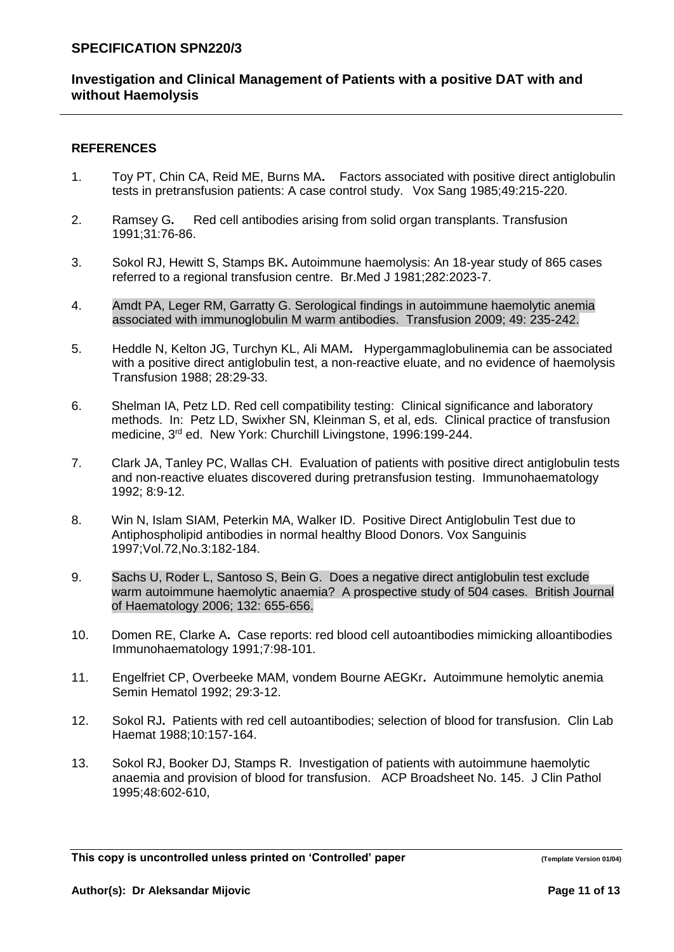# **Investigation and Clinical Management of Patients with a positive DAT with and without Haemolysis**

### **REFERENCES**

- 1. Toy PT, Chin CA, Reid ME, Burns MA**.** Factors associated with positive direct antiglobulin tests in pretransfusion patients: A case control study. Vox Sang 1985;49:215-220.
- 2. Ramsey G**.** Red cell antibodies arising from solid organ transplants. Transfusion 1991;31:76-86.
- 3. Sokol RJ, Hewitt S, Stamps BK**.** Autoimmune haemolysis: An 18-year study of 865 cases referred to a regional transfusion centre. Br.Med J 1981;282:2023-7.
- 4. Amdt PA, Leger RM, Garratty G. Serological findings in autoimmune haemolytic anemia associated with immunoglobulin M warm antibodies. Transfusion 2009; 49: 235-242.
- 5. Heddle N, Kelton JG, Turchyn KL, Ali MAM**.** Hypergammaglobulinemia can be associated with a positive direct antiglobulin test, a non-reactive eluate, and no evidence of haemolysis Transfusion 1988; 28:29-33.
- 6. Shelman IA, Petz LD. Red cell compatibility testing: Clinical significance and laboratory methods. In: Petz LD, Swixher SN, Kleinman S, et al, eds. Clinical practice of transfusion medicine, 3rd ed. New York: Churchill Livingstone, 1996:199-244.
- 7. Clark JA, Tanley PC, Wallas CH. Evaluation of patients with positive direct antiglobulin tests and non-reactive eluates discovered during pretransfusion testing. Immunohaematology 1992; 8:9-12.
- 8. Win N, Islam SIAM, Peterkin MA, Walker ID. Positive Direct Antiglobulin Test due to Antiphospholipid antibodies in normal healthy Blood Donors. Vox Sanguinis 1997;Vol.72,No.3:182-184.
- 9. Sachs U, Roder L, Santoso S, Bein G. Does a negative direct antiglobulin test exclude warm autoimmune haemolytic anaemia? A prospective study of 504 cases. British Journal of Haematology 2006; 132: 655-656.
- 10. Domen RE, Clarke A**.** Case reports: red blood cell autoantibodies mimicking alloantibodies Immunohaematology 1991;7:98-101.
- 11. Engelfriet CP, Overbeeke MAM, vondem Bourne AEGKr**.** Autoimmune hemolytic anemia Semin Hematol 1992; 29:3-12.
- 12. Sokol RJ**.** Patients with red cell autoantibodies; selection of blood for transfusion. Clin Lab Haemat 1988;10:157-164.
- 13. Sokol RJ, Booker DJ, Stamps R.Investigation of patients with autoimmune haemolytic anaemia and provision of blood for transfusion. ACP Broadsheet No. 145. J Clin Pathol 1995;48:602-610,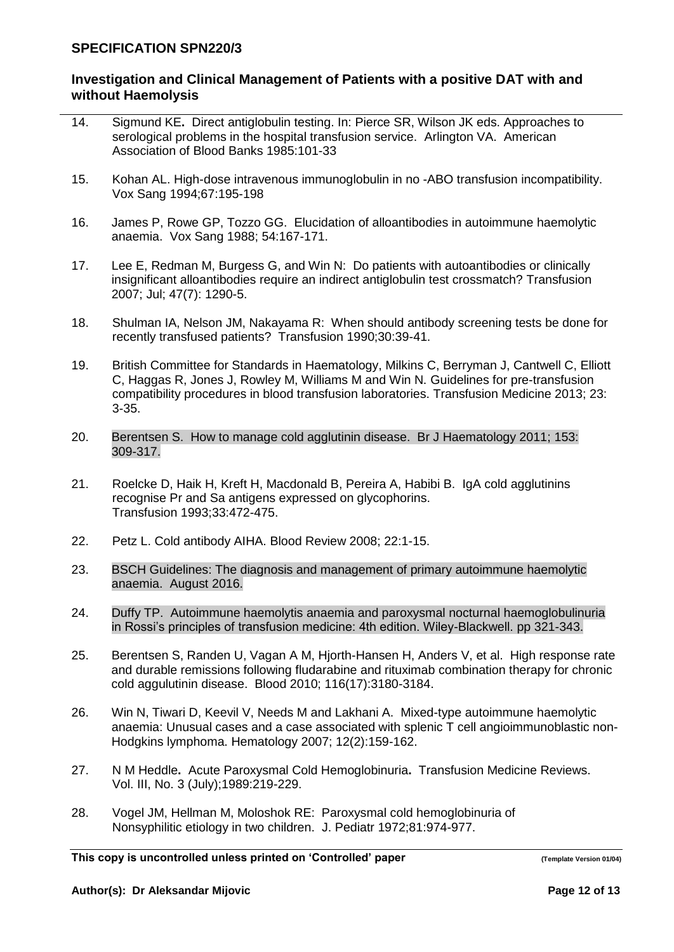# **Investigation and Clinical Management of Patients with a positive DAT with and without Haemolysis**

- 14. Sigmund KE**.** Direct antiglobulin testing. In: Pierce SR, Wilson JK eds. Approaches to serological problems in the hospital transfusion service. Arlington VA. American Association of Blood Banks 1985:101-33
- 15. Kohan AL. High-dose intravenous immunoglobulin in no -ABO transfusion incompatibility. Vox Sang 1994;67:195-198
- 16. James P, Rowe GP, Tozzo GG. Elucidation of alloantibodies in autoimmune haemolytic anaemia. Vox Sang 1988; 54:167-171.
- 17. Lee E, Redman M, Burgess G, and Win N: Do patients with autoantibodies or clinically insignificant alloantibodies require an indirect antiglobulin test crossmatch? Transfusion 2007; Jul; 47(7): 1290-5.
- 18. Shulman IA, Nelson JM, Nakayama R: When should antibody screening tests be done for recently transfused patients? Transfusion 1990;30:39-41.
- 19. British Committee for Standards in Haematology, Milkins C, Berryman J, Cantwell C, Elliott C, Haggas R, Jones J, Rowley M, Williams M and Win N. Guidelines for pre-transfusion compatibility procedures in blood transfusion laboratories. Transfusion Medicine 2013; 23: 3-35.
- 20. Berentsen S. How to manage cold agglutinin disease. Br J Haematology 2011; 153: 309-317.
- 21. Roelcke D, Haik H, Kreft H, Macdonald B, Pereira A, Habibi B.IgA cold agglutinins recognise Pr and Sa antigens expressed on glycophorins. Transfusion 1993;33:472-475.
- 22. Petz L. Cold antibody AIHA. Blood Review 2008; 22:1-15.
- 23. BSCH Guidelines: The diagnosis and management of primary autoimmune haemolytic anaemia. August 2016.
- 24. Duffy TP. Autoimmune haemolytis anaemia and paroxysmal nocturnal haemoglobulinuria in Rossi's principles of transfusion medicine: 4th edition. Wiley-Blackwell. pp 321-343.
- 25. Berentsen S, Randen U, Vagan A M, Hjorth-Hansen H, Anders V, et al. High response rate and durable remissions following fludarabine and rituximab combination therapy for chronic cold aggulutinin disease. Blood 2010; 116(17):3180-3184.
- 26. Win N, Tiwari D, Keevil V, Needs M and Lakhani A. Mixed-type autoimmune haemolytic anaemia: Unusual cases and a case associated with splenic T cell angioimmunoblastic non-Hodgkins lymphoma. Hematology 2007; 12(2):159-162.
- 27. N M Heddle**.** Acute Paroxysmal Cold Hemoglobinuria**.** Transfusion Medicine Reviews. Vol. III, No. 3 (July);1989:219-229.
- 28. Vogel JM, Hellman M, Moloshok RE: Paroxysmal cold hemoglobinuria of Nonsyphilitic etiology in two children. J. Pediatr 1972;81:974-977.